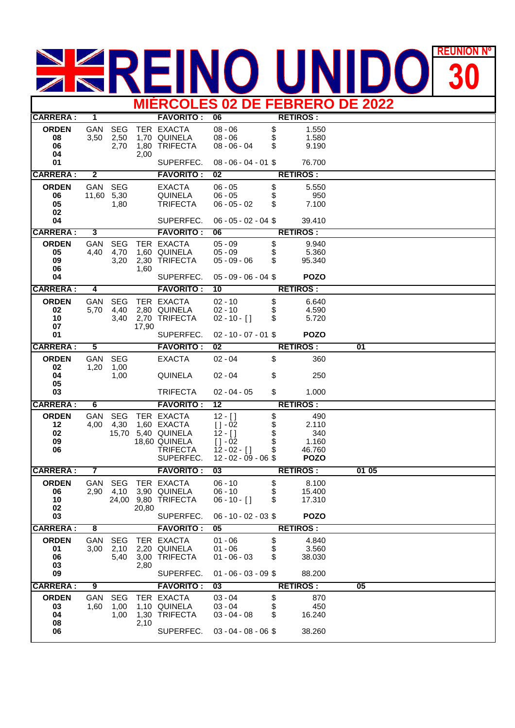## **REUNION REUNIÓN Nº MIÉRCOLES 02 DE FEBRERO DE 2022**

| <u>MICRUULES UZ DE FEBRERU DE ZUZZ</u> |                         |                             |       |                                                                                            |                                                                                                  |                      |                                                       |                 |  |
|----------------------------------------|-------------------------|-----------------------------|-------|--------------------------------------------------------------------------------------------|--------------------------------------------------------------------------------------------------|----------------------|-------------------------------------------------------|-----------------|--|
| <b>CARRERA:</b>                        | $\overline{1}$          |                             |       | <b>FAVORITO:</b>                                                                           | $\overline{06}$                                                                                  |                      | <b>RETIROS:</b>                                       |                 |  |
| <b>ORDEN</b><br>08<br>06<br>04         | GAN<br>3,50             | <b>SEG</b><br>2,50<br>2,70  | 2,00  | TER EXACTA<br>1,70 QUINELA<br>1,80 TRIFECTA                                                | $08 - 06$<br>$08 - 06$<br>$08 - 06 - 04$                                                         | \$<br>\$<br>\$       | 1.550<br>1.580<br>9.190                               |                 |  |
| 01                                     |                         |                             |       | SUPERFEC.                                                                                  | $08 - 06 - 04 - 01$ \$                                                                           |                      | 76.700                                                |                 |  |
| <b>CARRERA:</b>                        | $\overline{\mathbf{2}}$ |                             |       | <b>FAVORITO:</b>                                                                           | 02                                                                                               |                      | <b>RETIROS:</b>                                       |                 |  |
| <b>ORDEN</b>                           | GAN                     | <b>SEG</b>                  |       | <b>EXACTA</b>                                                                              | $06 - 05$                                                                                        | \$                   | 5.550                                                 |                 |  |
| 06<br>05                               | 11,60 5,30              | 1,80                        |       | <b>QUINELA</b><br><b>TRIFECTA</b>                                                          | $06 - 05$<br>$06 - 05 - 02$                                                                      | \$<br>\$             | 950<br>7.100                                          |                 |  |
| 02<br>04                               |                         |                             |       | SUPERFEC.                                                                                  | $06 - 05 - 02 - 04$ \$                                                                           |                      | 39.410                                                |                 |  |
| <b>CARRERA:</b>                        | د                       |                             |       | <b>FAVORITO:</b>                                                                           | 06                                                                                               |                      | <b>RETIROS:</b>                                       |                 |  |
| <b>ORDEN</b>                           | GAN                     | <b>SEG</b>                  |       | TER EXACTA                                                                                 | $05 - 09$                                                                                        | \$                   | 9.940                                                 |                 |  |
| 05<br>09<br>06                         | 4,40                    | 4,70<br>3,20                | 1,60  | 1,60 QUINELA<br>2,30 TRIFECTA                                                              | $05 - 09$<br>$05 - 09 - 06$                                                                      | \$<br>\$             | 5.360<br>95.340                                       |                 |  |
| 04                                     |                         |                             |       | SUPERFEC.                                                                                  | $05 - 09 - 06 - 04$ \$                                                                           |                      | <b>POZO</b>                                           |                 |  |
| <b>CARRERA:</b>                        | 4                       |                             |       | <b>FAVORITO:</b>                                                                           | 10                                                                                               |                      | <b>RETIROS:</b>                                       |                 |  |
| <b>ORDEN</b><br>02<br>10<br>07         | <b>GAN</b><br>5,70      | <b>SEG</b><br>4,40<br>3,40  | 17,90 | TER EXACTA<br>2,80 QUINELA<br>2,70 TRIFECTA                                                | $02 - 10$<br>$02 - 10$<br>$02 - 10 - [$ ]                                                        | \$<br>\$<br>\$       | 6.640<br>4.590<br>5.720                               |                 |  |
| 01                                     |                         |                             |       | SUPERFEC.                                                                                  | $02 - 10 - 07 - 01$ \$                                                                           |                      | <b>POZO</b>                                           |                 |  |
| <b>CARRERA:</b>                        | $\overline{\mathbf{5}}$ |                             |       | <b>FAVORITO:</b>                                                                           | 02                                                                                               |                      | <b>RETIROS:</b>                                       | $\overline{01}$ |  |
| <b>ORDEN</b>                           | GAN                     | <b>SEG</b>                  |       | <b>EXACTA</b>                                                                              | $02 - 04$                                                                                        | \$                   | 360                                                   |                 |  |
| 02<br>04<br>05                         | 1,20                    | 1,00<br>1,00                |       | <b>QUINELA</b>                                                                             | $02 - 04$                                                                                        | \$                   | 250                                                   |                 |  |
| 03                                     |                         |                             |       | <b>TRIFECTA</b>                                                                            | $02 - 04 - 05$                                                                                   | \$                   | 1.000                                                 |                 |  |
| <b>CARRERA:</b>                        | 6                       |                             |       | <b>FAVORITO:</b>                                                                           | 12                                                                                               |                      | <b>RETIROS:</b>                                       |                 |  |
| <b>ORDEN</b><br>12<br>02<br>09<br>06   | GAN<br>4,00             | <b>SEG</b><br>4,30<br>15,70 |       | TER EXACTA<br>1,60 EXACTA<br>5,40 QUINELA<br>18,60 QUINELA<br><b>TRIFECTA</b><br>SUPERFEC. | $12 - [$ ]<br>$[ ] - 02$<br>$12 - [$ ]<br>$[ ] -02$<br>$12 - 02 - [$ ]<br>$12 - 02 - 09 - 06$ \$ | \$<br>\$<br>\$<br>\$ | 490<br>2.110<br>340<br>1.160<br>46.760<br><b>POZO</b> |                 |  |
| <b>CARRERA:</b>                        | 7                       |                             |       | <b>FAVORITO:</b>                                                                           | $\overline{03}$                                                                                  |                      | <b>RETIROS:</b>                                       | 01 05           |  |
| <b>ORDEN</b><br>06<br>10<br>02<br>03   |                         | GAN SEG                     | 20,80 | TER EXACTA<br>2,90 4,10 3,90 QUINELA<br>24,00 9,80 TRIFECTA<br>SUPERFEC.                   | $06 - 10$<br>$06 - 10$<br>$06 - 10 - [$ ]<br>$06 - 10 - 02 - 03$                                 | \$<br>\$<br>\$       | 8.100<br>15.400<br>17.310<br><b>POZO</b>              |                 |  |
| <b>CARRERA:</b>                        | $\overline{\mathbf{8}}$ |                             |       | <b>FAVORITO:</b>                                                                           | 05                                                                                               |                      | <b>RETIROS:</b>                                       |                 |  |
| <b>ORDEN</b><br>01<br>06<br>03<br>09   | GAN<br>3,00             | <b>SEG</b><br>2,10<br>5,40  | 2,80  | TER EXACTA<br>2,20 QUINELA<br>3,00 TRIFECTA<br>SUPERFEC.                                   | $01 - 06$<br>$01 - 06$<br>$01 - 06 - 03$<br>$01 - 06 - 03 - 09$ \$                               | \$<br>\$<br>\$       | 4.840<br>3.560<br>38.030<br>88.200                    |                 |  |
| <b>CARRERA:</b>                        | 9                       |                             |       | <b>FAVORITO:</b>                                                                           | 03                                                                                               |                      | <b>RETIROS:</b>                                       | 05              |  |
| <b>ORDEN</b><br>03<br>04<br>08         | GAN<br>1,60             | <b>SEG</b><br>1,00<br>1,00  | 2,10  | TER EXACTA<br>1,10 QUINELA<br>1,30 TRIFECTA                                                | $03 - 04$<br>$03 - 04$<br>$03 - 04 - 08$                                                         | \$<br>\$<br>\$       | 870<br>450<br>16.240                                  |                 |  |
| 06                                     |                         |                             |       | SUPERFEC.                                                                                  | $03 - 04 - 08 - 06$ \$                                                                           |                      | 38.260                                                |                 |  |